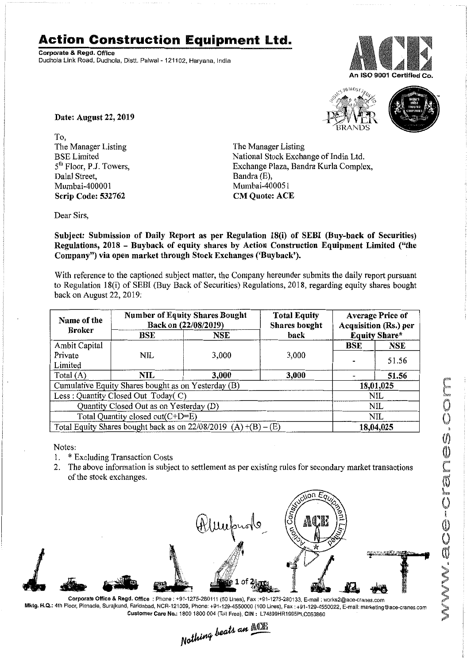## **Action Construction Equipment Ltd.**

Corporate & Regd. Office Dudhola Link Road. Dudhola, Distt. Palwal- 121102, Haryana, India







Date: August 22, 2019

To, The Manager Listing BSELimited 5<sup>th</sup> Floor, P.J. Towers, Dalal Street, Mumbai-400001 Scrip Code: 532762

The Manager Listing National Stock Exchange of India Ltd. Exchange Plaza, Bandra Kurla Complex, Bandra (E), Mumbai-400051 CM Quote: ACE

Dear Sirs,

Subject: Submission of Daily Report as per Regulation 18(i) of SEBI (Buy-back of Securities) Regulations, 2018 - Buyback of equity shares by Action Construction Equipment Limited ("the Company") via open market through Stock Exchanges ('Buyback').

With reference to the captioned subject matter, the Company hereunder submits the daily report pursuant to Regulation 18(i) of SEBl (Buy Back of Securities) Regulations, 2018, regarding equity shares bought back on August 22, 2019:

| Name of the                                                       | <b>Number of Equity Shares Bought</b><br>Back on (22/08/2019) |       | <b>Total Equity</b><br><b>Shares</b> bought | <b>Average Price of</b><br>Acquisition (Rs.) per<br><b>Equity Share*</b> |            |
|-------------------------------------------------------------------|---------------------------------------------------------------|-------|---------------------------------------------|--------------------------------------------------------------------------|------------|
| <b>Broker</b>                                                     | back<br>BSE<br>NSE                                            |       |                                             |                                                                          |            |
| Ambit Capital                                                     |                                                               |       |                                             | BSE                                                                      | <b>NSE</b> |
| Private                                                           | NIL                                                           | 3,000 | 3,000                                       |                                                                          | 51.56      |
| Limited                                                           |                                                               |       |                                             |                                                                          |            |
| Total $(A)$                                                       | NIL                                                           | 3,000 | 3,000                                       |                                                                          | 51.56      |
| Cumulative Equity Shares bought as on Yesterday (B)               |                                                               |       |                                             | 18,01,025                                                                |            |
| Less: Quantity Closed Out Today(C)                                |                                                               |       |                                             | NIL                                                                      |            |
| Quantity Closed Out as on Yesterday (D)                           |                                                               |       |                                             | <b>NIL</b>                                                               |            |
| Total Quantity closed out(C+D=E)                                  |                                                               |       |                                             | NIL                                                                      |            |
| Total Equity Shares bought back as on $22/08/2019$ (A) +(B) – (E) |                                                               |       |                                             | 18,04,025                                                                |            |

Notes:

- 1. \* Excluding Transaction Costs
- 2. The above information is subject to settlement as per existing rules for secondary market transactions of the stock exchanges.



Corporate Office & Regd. Office: Phone: +91-1275-280111 (50 Lines), Fax:+91-1275-280133, E-mail: works2@ace-cranes.com Mktg. H.Q.: 4th Floor, Pinnacle, Surajkund, Faridabad, NCR-121009, Phone: +91-129-4550000 (100 Lines), Fax: +91-129-4550022, E-mail: marketing@ace-cranes.com

Customer Care No.: 1800 1800 004 (Toll Free), CIN: L74899HR1995PLC053860<br>  $Nathing$  beats an  $\frac{\mathbb{Q}[\mathbb{R}]}{[}$